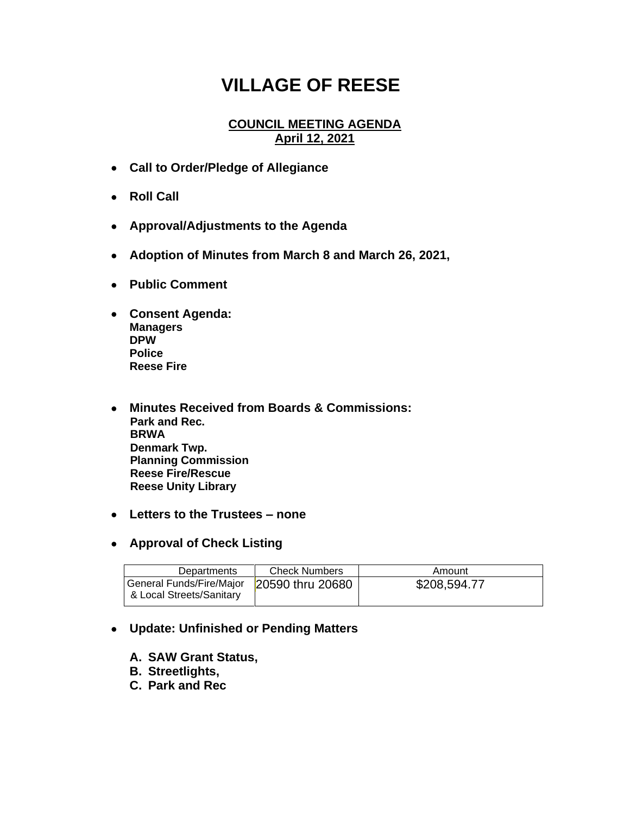## **VILLAGE OF REESE**

## **COUNCIL MEETING AGENDA April 12, 2021**

- **Call to Order/Pledge of Allegiance**
- **Roll Call**
- **Approval/Adjustments to the Agenda**
- **Adoption of Minutes from March 8 and March 26, 2021,**
- **Public Comment**
- **Consent Agenda: Managers DPW Police Reese Fire**
- **Minutes Received from Boards & Commissions: Park and Rec. BRWA Denmark Twp. Planning Commission Reese Fire/Rescue Reese Unity Library**
- **Letters to the Trustees – none**
- **Approval of Check Listing**

| Departments                                          | <b>Check Numbers</b> | Amount       |
|------------------------------------------------------|----------------------|--------------|
| General Funds/Fire/Major<br>& Local Streets/Sanitary | 20590 thru 20680     | \$208,594.77 |

## • **Update: Unfinished or Pending Matters**

- **A. SAW Grant Status,**
- **B. Streetlights,**
- **C. Park and Rec**